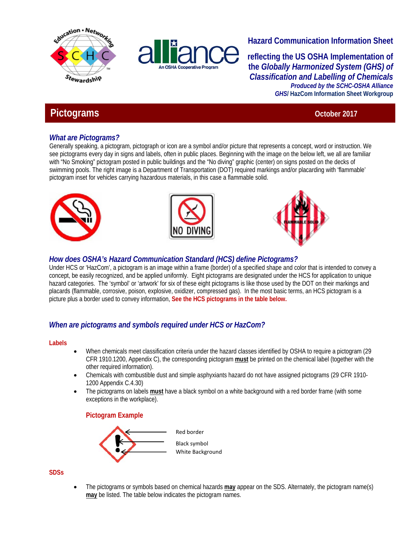



# **Hazard Communication Information Sheet**

**reflecting the US OSHA Implementation of the** *Globally Harmonized System (GHS) of Classification and Labelling of Chemicals Produced by the SCHC-OSHA Alliance GHS***/ HazCom Information Sheet Workgroup**

# **Pictograms** October 2017

# *What are Pictograms?*

Generally speaking, a pictogram, pictograph or icon are a symbol and/or picture that represents a concept, word or instruction. We see pictograms every day in signs and labels, often in public places. Beginning with the image on the below left, we all are familiar with "No Smoking" pictogram posted in public buildings and the "No diving" graphic (center) on signs posted on the decks of swimming pools. The right image is a Department of Transportation (DOT) required markings and/or placarding with 'flammable' pictogram inset for vehicles carrying hazardous materials, in this case a flammable solid.







# *How does OSHA's Hazard Communication Standard (HCS) define Pictograms?*

Under HCS or 'HazCom', a pictogram is an image within a frame (border) of a specified shape and color that is intended to convey a concept, be easily recognized, and be applied uniformly. Eight pictograms are designated under the HCS for application to unique hazard categories. The 'symbol' or 'artwork' for six of these eight pictograms is like those used by the DOT on their markings and placards (flammable, corrosive, poison, explosive, oxidizer, compressed gas). In the most basic terms, an HCS pictogram is a picture plus a border used to convey information, **See the HCS pictograms in the table below.** 

# *When are pictograms and symbols required under HCS or HazCom?*

### **Labels**

- When chemicals meet classification criteria under the hazard classes identified by OSHA to require a pictogram (29 CFR 1910.1200, Appendix C), the corresponding pictogram **must** be printed on the chemical label (together with the other required information).
- Chemicals with combustible dust and simple asphyxiants hazard do not have assigned pictograms (29 CFR 1910- 1200 Appendix C.4.30)
- The pictograms on labels **must** have a black symbol on a white background with a red border frame (with some exceptions in the workplace).

# **Pictogram Example**



**SDSs** 

 The pictograms or symbols based on chemical hazards **may** appear on the SDS. Alternately, the pictogram name(s) **may** be listed. The table below indicates the pictogram names.